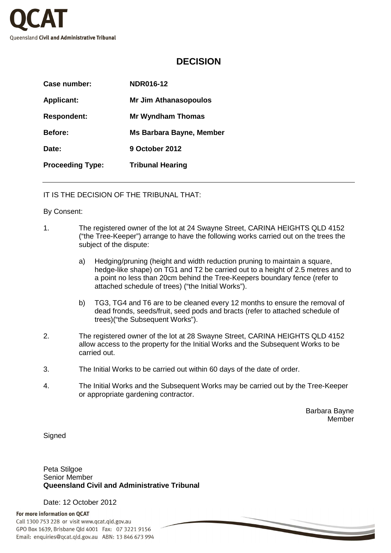

## **DECISION**

| Case number:            | <b>NDR016-12</b>                |  |
|-------------------------|---------------------------------|--|
| <b>Applicant:</b>       | <b>Mr Jim Athanasopoulos</b>    |  |
| <b>Respondent:</b>      | <b>Mr Wyndham Thomas</b>        |  |
| <b>Before:</b>          | <b>Ms Barbara Bayne, Member</b> |  |
| Date:                   | 9 October 2012                  |  |
| <b>Proceeding Type:</b> | <b>Tribunal Hearing</b>         |  |

IT IS THE DECISION OF THE TRIBUNAL THAT:

## By Consent:

- 1. The registered owner of the lot at 24 Swayne Street, CARINA HEIGHTS QLD 4152 ("the Tree-Keeper") arrange to have the following works carried out on the trees the subject of the dispute:
	- a) Hedging/pruning (height and width reduction pruning to maintain a square, hedge-like shape) on TG1 and T2 be carried out to a height of 2.5 metres and to a point no less than 20cm behind the Tree-Keepers boundary fence (refer to attached schedule of trees) ("the Initial Works").
	- b) TG3, TG4 and T6 are to be cleaned every 12 months to ensure the removal of dead fronds, seeds/fruit, seed pods and bracts (refer to attached schedule of trees)("the Subsequent Works").
- 2. The registered owner of the lot at 28 Swayne Street, CARINA HEIGHTS QLD 4152 allow access to the property for the Initial Works and the Subsequent Works to be carried out.
- 3. The Initial Works to be carried out within 60 days of the date of order.
- 4. The Initial Works and the Subsequent Works may be carried out by the Tree-Keeper or appropriate gardening contractor.

Barbara Bayne Member

**Signed** 

Peta Stilgoe Senior Member **Queensland Civil and Administrative Tribunal** 

Date: 12 October 2012